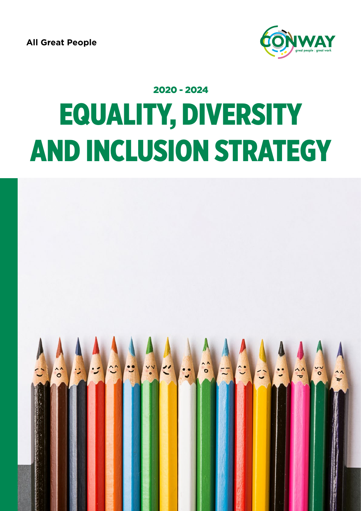**All Great People**



## 2020 - 2024

## EQUALITY, DIVERSITY AND INCLUSION STRATEGY

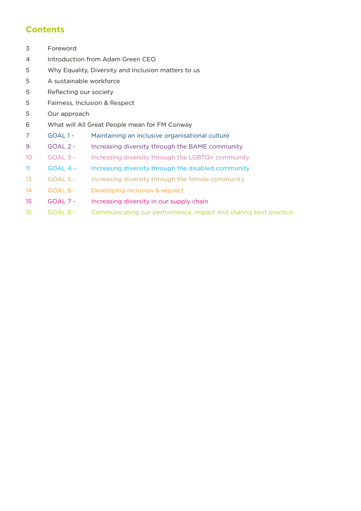## **Contents**

- [Foreword](#page-2-0)
- [Introduction from Adam Green CEO](#page-3-0)
- [Why Equality, Diversity and Inclusion matters to us](#page-4-0)
- [A sustainable workforce](#page-4-0)
- [Reflecting our society](#page-4-0)
- [Fairness, Inclusion & Respect](#page-4-0)
- [Our approach](#page-4-0)
- [What will All Great People mean for FM Conway](#page-5-0)
- [GOAL 1 Maintaining an inclusive organisational culture](#page-6-0)
- [GOAL 2 Increasing diversity through the BAME community](#page-8-0)
- [GOAL 3 Increasing diversity through the LGBTQ+ community](#page-9-0)
- [GOAL 4 Increasing diversity through the disabled community](#page-10-0)
- [GOAL 5 Increasing diversity through the female community](#page-12-0)
- [GOAL 6 Developing inclusion & respect](#page-13-0)
- [GOAL 7 Increasing diversity in our supply chain](#page-14-0)
- [GOAL 8 Communicating our performance, impact and sharing best practice](#page-15-0)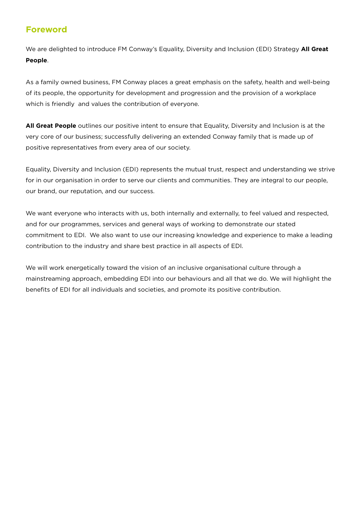## <span id="page-2-0"></span>**Foreword**

We are delighted to introduce FM Conway's Equality, Diversity and Inclusion (EDI) Strategy **All Great People**.

As a family owned business, FM Conway places a great emphasis on the safety, health and well-being of its people, the opportunity for development and progression and the provision of a workplace which is friendly and values the contribution of everyone.

**All Great People** outlines our positive intent to ensure that Equality, Diversity and Inclusion is at the very core of our business; successfully delivering an extended Conway family that is made up of positive representatives from every area of our society.

Equality, Diversity and Inclusion (EDI) represents the mutual trust, respect and understanding we strive for in our organisation in order to serve our clients and communities. They are integral to our people, our brand, our reputation, and our success.

We want everyone who interacts with us, both internally and externally, to feel valued and respected, and for our programmes, services and general ways of working to demonstrate our stated commitment to EDI. We also want to use our increasing knowledge and experience to make a leading contribution to the industry and share best practice in all aspects of EDI.

We will work energetically toward the vision of an inclusive organisational culture through a mainstreaming approach, embedding EDI into our behaviours and all that we do. We will highlight the benefits of EDI for all individuals and societies, and promote its positive contribution.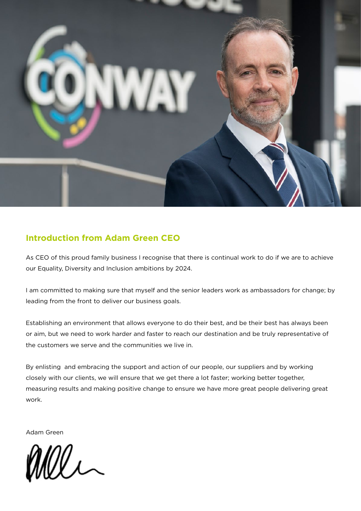<span id="page-3-0"></span>

### **Introduction from Adam Green CEO**

As CEO of this proud family business I recognise that there is continual work to do if we are to achieve our Equality, Diversity and Inclusion ambitions by 2024.

I am committed to making sure that myself and the senior leaders work as ambassadors for change; by leading from the front to deliver our business goals.

Establishing an environment that allows everyone to do their best, and be their best has always been or aim, but we need to work harder and faster to reach our destination and be truly representative of the customers we serve and the communities we live in.

By enlisting and embracing the support and action of our people, our suppliers and by working closely with our clients, we will ensure that we get there a lot faster; working better together, measuring results and making positive change to ensure we have more great people delivering great work.

Adam Green

Wir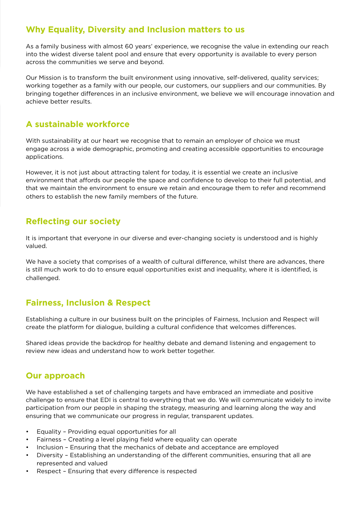## <span id="page-4-0"></span>**Why Equality, Diversity and Inclusion matters to us**

As a family business with almost 60 years' experience, we recognise the value in extending our reach into the widest diverse talent pool and ensure that every opportunity is available to every person across the communities we serve and beyond.

Our Mission is to transform the built environment using innovative, self-delivered, quality services; working together as a family with our people, our customers, our suppliers and our communities. By bringing together differences in an inclusive environment, we believe we will encourage innovation and achieve better results.

## **A sustainable workforce**

With sustainability at our heart we recognise that to remain an employer of choice we must engage across a wide demographic, promoting and creating accessible opportunities to encourage applications.

However, it is not just about attracting talent for today, it is essential we create an inclusive environment that affords our people the space and confidence to develop to their full potential, and that we maintain the environment to ensure we retain and encourage them to refer and recommend others to establish the new family members of the future.

### **Reflecting our society**

It is important that everyone in our diverse and ever-changing society is understood and is highly valued.

We have a society that comprises of a wealth of cultural difference, whilst there are advances, there is still much work to do to ensure equal opportunities exist and inequality, where it is identified, is challenged.

## **Fairness, Inclusion & Respect**

Establishing a culture in our business built on the principles of Fairness, Inclusion and Respect will create the platform for dialogue, building a cultural confidence that welcomes differences.

Shared ideas provide the backdrop for healthy debate and demand listening and engagement to review new ideas and understand how to work better together.

## **Our approach**

We have established a set of challenging targets and have embraced an immediate and positive challenge to ensure that EDI is central to everything that we do. We will communicate widely to invite participation from our people in shaping the strategy, measuring and learning along the way and ensuring that we communicate our progress in regular, transparent updates.

- Equality Providing equal opportunities for all
- Fairness Creating a level playing field where equality can operate
- Inclusion Ensuring that the mechanics of debate and acceptance are employed
- Diversity Establishing an understanding of the different communities, ensuring that all are represented and valued
- Respect Ensuring that every difference is respected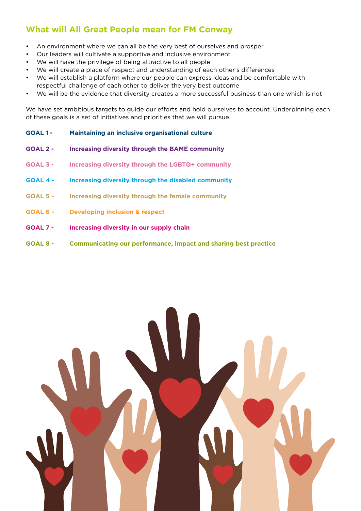## <span id="page-5-0"></span>**What will All Great People mean for FM Conway**

- An environment where we can all be the very best of ourselves and prosper
- Our leaders will cultivate a supportive and inclusive environment
- We will have the privilege of being attractive to all people
- We will create a place of respect and understanding of each other's differences
- We will establish a platform where our people can express ideas and be comfortable with respectful challenge of each other to deliver the very best outcome
- We will be the evidence that diversity creates a more successful business than one which is not

We have set ambitious targets to guide our efforts and hold ourselves to account. Underpinning each of these goals is a set of initiatives and priorities that we will pursue.

- **GOAL 1 Maintaining an inclusive organisational culture**
- **GOAL 2 Increasing diversity through the BAME community**
- **GOAL 3 - Increasing diversity through the LGBTQ+ community**
- **GOAL 4 Increasing diversity through the disabled community**
- **GOAL 5 Increasing diversity through the female community**
- **GOAL 6 Developing inclusion & respect**
- **GOAL 7 Increasing diversity in our supply chain**
- **GOAL 8 Communicating our performance, impact and sharing best practice**

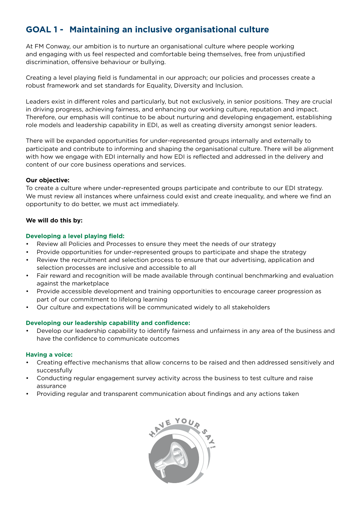## <span id="page-6-0"></span>**GOAL 1 - Maintaining an inclusive organisational culture**

At FM Conway, our ambition is to nurture an organisational culture where people working and engaging with us feel respected and comfortable being themselves, free from unjustified discrimination, offensive behaviour or bullying.

Creating a level playing field is fundamental in our approach; our policies and processes create a robust framework and set standards for Equality, Diversity and Inclusion.

Leaders exist in different roles and particularly, but not exclusively, in senior positions. They are crucial in driving progress, achieving fairness, and enhancing our working culture, reputation and impact. Therefore, our emphasis will continue to be about nurturing and developing engagement, establishing role models and leadership capability in EDI, as well as creating diversity amongst senior leaders.

There will be expanded opportunities for under-represented groups internally and externally to participate and contribute to informing and shaping the organisational culture. There will be alignment with how we engage with EDI internally and how EDI is reflected and addressed in the delivery and content of our core business operations and services.

#### **Our objective:**

To create a culture where under-represented groups participate and contribute to our EDI strategy. We must review all instances where unfairness could exist and create inequality, and where we find an opportunity to do better, we must act immediately.

#### **We will do this by:**

#### **Developing a level playing field:**

- Review all Policies and Processes to ensure they meet the needs of our strategy
- Provide opportunities for under-represented groups to participate and shape the strategy
- Review the recruitment and selection process to ensure that our advertising, application and selection processes are inclusive and accessible to all
- Fair reward and recognition will be made available through continual benchmarking and evaluation against the marketplace
- Provide accessible development and training opportunities to encourage career progression as part of our commitment to lifelong learning
- Our culture and expectations will be communicated widely to all stakeholders

#### **Developing our leadership capability and confidence:**

• Develop our leadership capability to identify fairness and unfairness in any area of the business and have the confidence to communicate outcomes

#### **Having a voice:**

- Creating effective mechanisms that allow concerns to be raised and then addressed sensitively and successfully
- Conducting regular engagement survey activity across the business to test culture and raise assurance
- Providing regular and transparent communication about findings and any actions taken

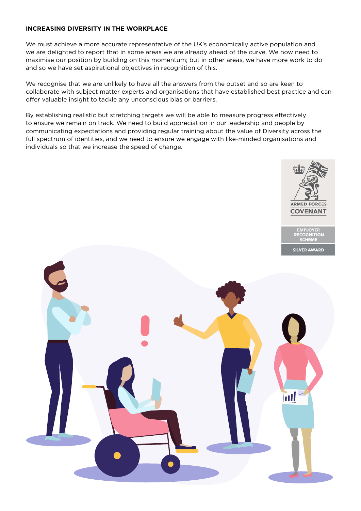#### **INCREASING DIVERSITY IN THE WORKPLACE**

We must achieve a more accurate representative of the UK's economically active population and we are delighted to report that in some areas we are already ahead of the curve. We now need to maximise our position by building on this momentum; but in other areas, we have more work to do and so we have set aspirational objectives in recognition of this.

We recognise that we are unlikely to have all the answers from the outset and so are keen to collaborate with subject matter experts and organisations that have established best practice and can offer valuable insight to tackle any unconscious bias or barriers.

By establishing realistic but stretching targets we will be able to measure progress effectively to ensure we remain on track. We need to build appreciation in our leadership and people by communicating expectations and providing regular training about the value of Diversity across the full spectrum of identities, and we need to ensure we engage with like-minded organisations and individuals so that we increase the speed of change.



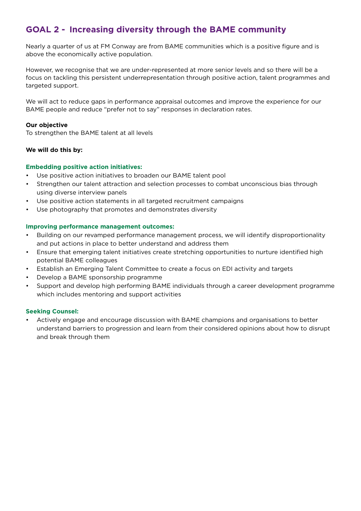## <span id="page-8-0"></span>**GOAL 2 - Increasing diversity through the BAME community**

Nearly a quarter of us at FM Conway are from BAME communities which is a positive figure and is above the economically active population.

However, we recognise that we are under-represented at more senior levels and so there will be a focus on tackling this persistent underrepresentation through positive action, talent programmes and targeted support.

We will act to reduce gaps in performance appraisal outcomes and improve the experience for our BAME people and reduce "prefer not to say" responses in declaration rates.

#### **Our objective**

To strengthen the BAME talent at all levels

#### **We will do this by:**

#### **Embedding positive action initiatives:**

- Use positive action initiatives to broaden our BAME talent pool
- Strengthen our talent attraction and selection processes to combat unconscious bias through using diverse interview panels
- Use positive action statements in all targeted recruitment campaigns
- Use photography that promotes and demonstrates diversity

#### **Improving performance management outcomes:**

- Building on our revamped performance management process, we will identify disproportionality and put actions in place to better understand and address them
- Ensure that emerging talent initiatives create stretching opportunities to nurture identified high potential BAME colleagues
- Establish an Emerging Talent Committee to create a focus on EDI activity and targets
- Develop a BAME sponsorship programme
- Support and develop high performing BAME individuals through a career development programme which includes mentoring and support activities

#### **Seeking Counsel:**

• Actively engage and encourage discussion with BAME champions and organisations to better understand barriers to progression and learn from their considered opinions about how to disrupt and break through them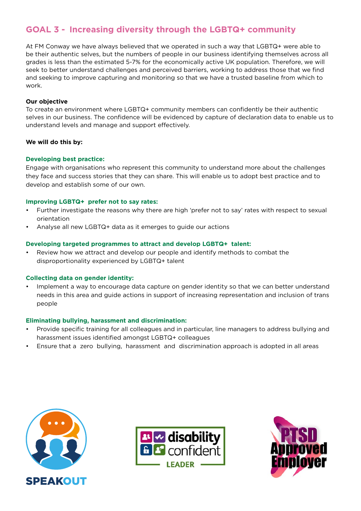## <span id="page-9-0"></span>**GOAL 3 - Increasing diversity through the LGBTQ+ community**

At FM Conway we have always believed that we operated in such a way that LGBTQ+ were able to be their authentic selves, but the numbers of people in our business identifying themselves across all grades is less than the estimated 5-7% for the economically active UK population. Therefore, we will seek to better understand challenges and perceived barriers, working to address those that we find and seeking to improve capturing and monitoring so that we have a trusted baseline from which to work.

#### **Our objective**

To create an environment where LGBTQ+ community members can confidently be their authentic selves in our business. The confidence will be evidenced by capture of declaration data to enable us to understand levels and manage and support effectively.

#### **We will do this by:**

#### **Developing best practice:**

Engage with organisations who represent this community to understand more about the challenges they face and success stories that they can share. This will enable us to adopt best practice and to develop and establish some of our own.

#### **Improving LGBTQ+ prefer not to say rates:**

- Further investigate the reasons why there are high 'prefer not to say' rates with respect to sexual orientation
- Analyse all new LGBTQ+ data as it emerges to guide our actions

#### **Developing targeted programmes to attract and develop LGBTQ+ talent:**

Review how we attract and develop our people and identify methods to combat the disproportionality experienced by LGBTQ+ talent

#### **Collecting data on gender identity:**

Implement a way to encourage data capture on gender identity so that we can better understand needs in this area and guide actions in support of increasing representation and inclusion of trans people

#### **Eliminating bullying, harassment and discrimination:**

- Provide specific training for all colleagues and in particular, line managers to address bullying and harassment issues identified amongst LGBTQ+ colleagues
- Ensure that a zero bullying, harassment and discrimination approach is adopted in all areas





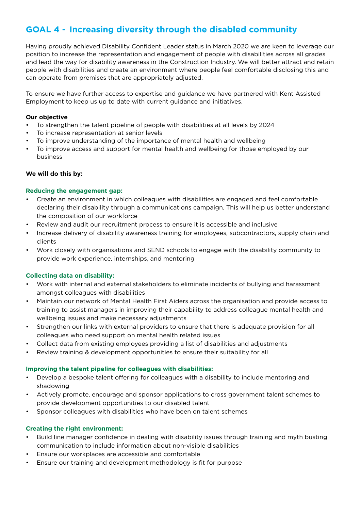## <span id="page-10-0"></span>**GOAL 4 - Increasing diversity through the disabled community**

Having proudly achieved Disability Confident Leader status in March 2020 we are keen to leverage our position to increase the representation and engagement of people with disabilities across all grades and lead the way for disability awareness in the Construction Industry. We will better attract and retain people with disabilities and create an environment where people feel comfortable disclosing this and can operate from premises that are appropriately adjusted.

To ensure we have further access to expertise and guidance we have partnered with Kent Assisted Employment to keep us up to date with current guidance and initiatives.

#### **Our objective**

- To strengthen the talent pipeline of people with disabilities at all levels by 2024
- To increase representation at senior levels
- To improve understanding of the importance of mental health and wellbeing
- To improve access and support for mental health and wellbeing for those employed by our business

#### **We will do this by:**

#### **Reducing the engagement gap:**

- Create an environment in which colleagues with disabilities are engaged and feel comfortable declaring their disability through a communications campaign. This will help us better understand the composition of our workforce
- Review and audit our recruitment process to ensure it is accessible and inclusive
- Increase delivery of disability awareness training for employees, subcontractors, supply chain and clients
- Work closely with organisations and SEND schools to engage with the disability community to provide work experience, internships, and mentoring

#### **Collecting data on disability:**

- Work with internal and external stakeholders to eliminate incidents of bullying and harassment amongst colleagues with disabilities
- Maintain our network of Mental Health First Aiders across the organisation and provide access to training to assist managers in improving their capability to address colleague mental health and wellbeing issues and make necessary adjustments
- Strengthen our links with external providers to ensure that there is adequate provision for all colleagues who need support on mental health related issues
- Collect data from existing employees providing a list of disabilities and adjustments
- Review training & development opportunities to ensure their suitability for all

#### **Improving the talent pipeline for colleagues with disabilities:**

- Develop a bespoke talent offering for colleagues with a disability to include mentoring and shadowing
- Actively promote, encourage and sponsor applications to cross government talent schemes to provide development opportunities to our disabled talent
- Sponsor colleagues with disabilities who have been on talent schemes

#### **Creating the right environment:**

- Build line manager confidence in dealing with disability issues through training and myth busting communication to include information about non-visible disabilities
- Ensure our workplaces are accessible and comfortable
- Ensure our training and development methodology is fit for purpose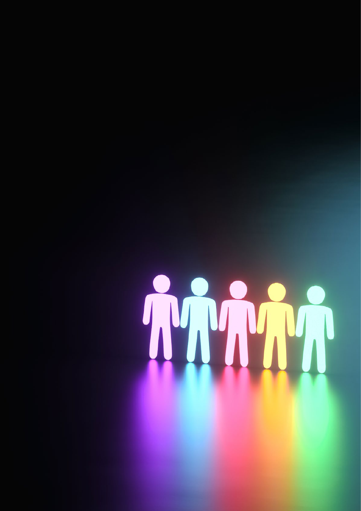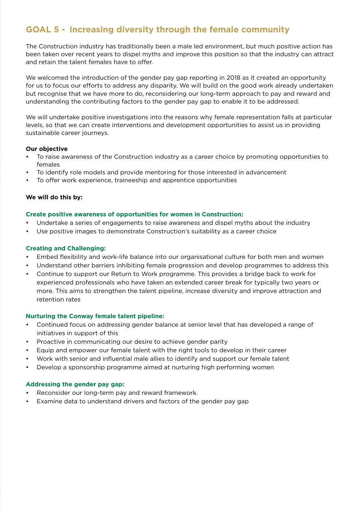## <span id="page-12-0"></span>**GOAL 5 - Increasing diversity through the female community**

The Construction industry has traditionally been a male led environment, but much positive action has been taken over recent years to dispel myths and improve this position so that the industry can attract and retain the talent females have to offer.

We welcomed the introduction of the gender pay gap reporting in 2018 as it created an opportunity for us to focus our efforts to address any disparity. We will build on the good work already undertaken but recognise that we have more to do, reconsidering our long-term approach to pay and reward and understanding the contributing factors to the gender pay gap to enable it to be addressed.

We will undertake positive investigations into the reasons why female representation falls at particular levels, so that we can create interventions and development opportunities to assist us in providing sustainable career journeys.

#### **Our objective**

- To raise awareness of the Construction industry as a career choice by promoting opportunities to females
- To identify role models and provide mentoring for those interested in advancement
- To offer work experience, traineeship and apprentice opportunities

#### **We will do this by:**

#### **Create positive awareness of opportunities for women in Construction:**

- Undertake a series of engagements to raise awareness and dispel myths about the industry
- Use positive images to demonstrate Construction's suitability as a career choice

#### **Creating and Challenging:**

- Embed flexibility and work-life balance into our organisational culture for both men and women
- Understand other barriers inhibiting female progression and develop programmes to address this
- Continue to support our Return to Work programme. This provides a bridge back to work for experienced professionals who have taken an extended career break for typically two years or more. This aims to strengthen the talent pipeline, increase diversity and improve attraction and retention rates

#### **Nurturing the Conway female talent pipeline:**

- Continued focus on addressing gender balance at senior level that has developed a range of initiatives in support of this
- Proactive in communicating our desire to achieve gender parity
- Equip and empower our female talent with the right tools to develop in their career
- Work with senior and influential male allies to identify and support our female talent
- Develop a sponsorship programme aimed at nurturing high performing women

#### **Addressing the gender pay gap:**

- Reconsider our long-term pay and reward framework.
- Examine data to understand drivers and factors of the gender pay gap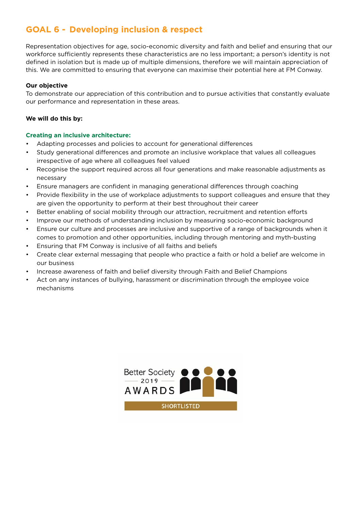## <span id="page-13-0"></span>**GOAL 6 - Developing inclusion & respect**

Representation objectives for age, socio-economic diversity and faith and belief and ensuring that our workforce sufficiently represents these characteristics are no less important; a person's identity is not defined in isolation but is made up of multiple dimensions, therefore we will maintain appreciation of this. We are committed to ensuring that everyone can maximise their potential here at FM Conway.

#### **Our objective**

To demonstrate our appreciation of this contribution and to pursue activities that constantly evaluate our performance and representation in these areas.

#### **We will do this by:**

#### **Creating an inclusive architecture:**

- Adapting processes and policies to account for generational differences
- Study generational differences and promote an inclusive workplace that values all colleagues irrespective of age where all colleagues feel valued
- Recognise the support required across all four generations and make reasonable adjustments as necessary
- Ensure managers are confident in managing generational differences through coaching
- Provide flexibility in the use of workplace adjustments to support colleagues and ensure that they are given the opportunity to perform at their best throughout their career
- Better enabling of social mobility through our attraction, recruitment and retention efforts
- Improve our methods of understanding inclusion by measuring socio-economic background
- Ensure our culture and processes are inclusive and supportive of a range of backgrounds when it comes to promotion and other opportunities, including through mentoring and myth-busting
- Ensuring that FM Conway is inclusive of all faiths and beliefs
- Create clear external messaging that people who practice a faith or hold a belief are welcome in our business
- Increase awareness of faith and belief diversity through Faith and Belief Champions
- Act on any instances of bullying, harassment or discrimination through the employee voice mechanisms

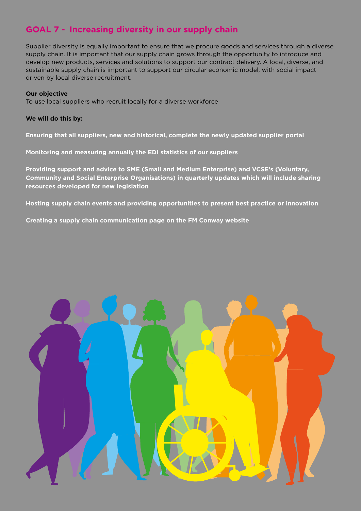## <span id="page-14-0"></span>**GOAL 7 - Increasing diversity in our supply chain**

Supplier diversity is equally important to ensure that we procure goods and services through a diverse supply chain. It is important that our supply chain grows through the opportunity to introduce and develop new products, services and solutions to support our contract delivery. A local, diverse, and sustainable supply chain is important to support our circular economic model, with social impact driven by local diverse recruitment.

#### **Our objective**

To use local suppliers who recruit locally for a diverse workforce

#### **We will do this by:**

**Ensuring that all suppliers, new and historical, complete the newly updated supplier portal**

**Monitoring and measuring annually the EDI statistics of our suppliers**

**Providing support and advice to SME (Small and Medium Enterprise) and VCSE's (Voluntary, Community and Social Enterprise Organisations) in quarterly updates which will include sharing resources developed for new legislation** 

**Hosting supply chain events and providing opportunities to present best practice or innovation**

**Creating a supply chain communication page on the FM Conway website**

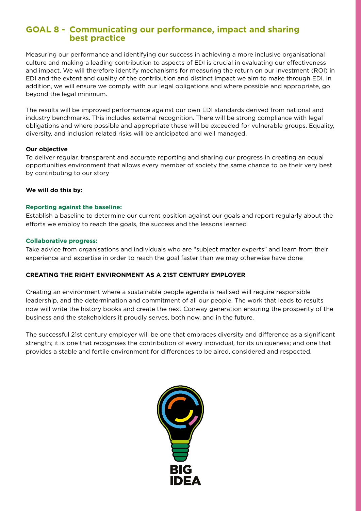## <span id="page-15-0"></span>**GOAL 8 - Communicating our performance, impact and sharing best practice**

Measuring our performance and identifying our success in achieving a more inclusive organisational culture and making a leading contribution to aspects of EDI is crucial in evaluating our effectiveness and impact. We will therefore identify mechanisms for measuring the return on our investment (ROI) in EDI and the extent and quality of the contribution and distinct impact we aim to make through EDI. In addition, we will ensure we comply with our legal obligations and where possible and appropriate, go beyond the legal minimum.

The results will be improved performance against our own EDI standards derived from national and industry benchmarks. This includes external recognition. There will be strong compliance with legal obligations and where possible and appropriate these will be exceeded for vulnerable groups. Equality, diversity, and inclusion related risks will be anticipated and well managed.

#### **Our objective**

To deliver regular, transparent and accurate reporting and sharing our progress in creating an equal opportunities environment that allows every member of society the same chance to be their very best by contributing to our story

#### **We will do this by:**

#### **Reporting against the baseline:**

Establish a baseline to determine our current position against our goals and report regularly about the efforts we employ to reach the goals, the success and the lessons learned

#### **Collaborative progress:**

Take advice from organisations and individuals who are "subject matter experts" and learn from their experience and expertise in order to reach the goal faster than we may otherwise have done

#### **CREATING THE RIGHT ENVIRONMENT AS A 21ST CENTURY EMPLOYER**

Creating an environment where a sustainable people agenda is realised will require responsible leadership, and the determination and commitment of all our people. The work that leads to results now will write the history books and create the next Conway generation ensuring the prosperity of the business and the stakeholders it proudly serves, both now, and in the future.

The successful 21st century employer will be one that embraces diversity and difference as a significant strength; it is one that recognises the contribution of every individual, for its uniqueness; and one that provides a stable and fertile environment for differences to be aired, considered and respected.

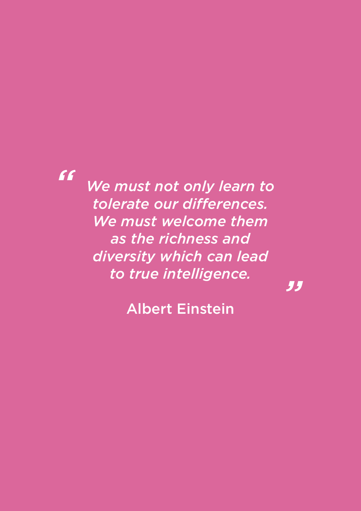*"*

*We must not only learn to tolerate our differences. We must welcome them as the richness and diversity which can lead to true intelligence.*

*"*

Albert Einstein